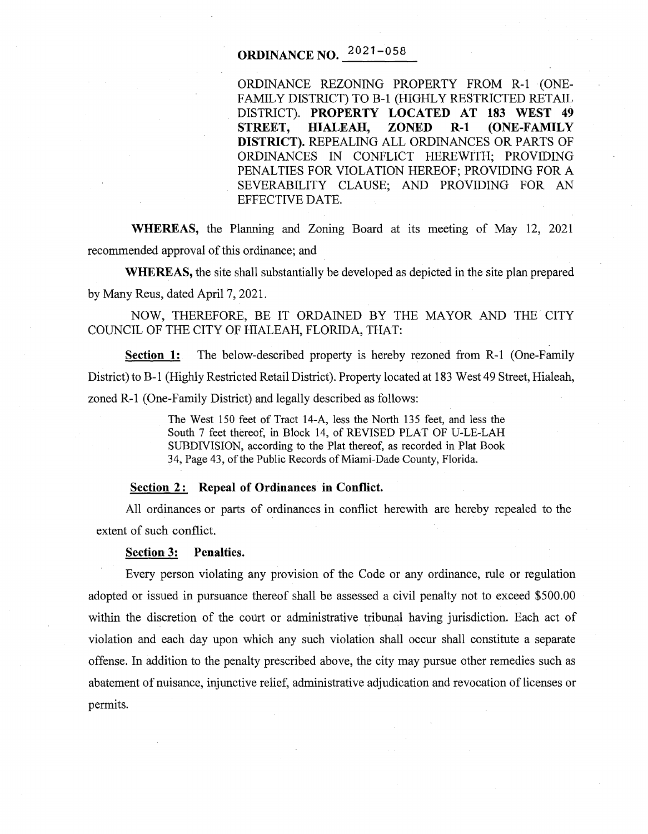# **ORDINANCE NO.**  $2021 - 058$

ORDINANCE REZONING PROPERTY FROM R-1 (ONE-FAMILY DISTRICT) TO B-1 (HIGHLY RESTRICTED RETAIL DISTRICT). **PROPERTY LOCATED AT 183 WEST 49 STREET, HIALEAH, ZONED R-1 (ONE-FAMILY DISTRICT).** REPEALING ALL ORDINANCES OR PARTS OF ORDINANCES IN CONFLICT HEREWITH; PROVIDING PENALTIES FOR VIOLATION HEREOF; PROVIDING FOR A SEVERABILITY CLAUSE; AND PROVIDING FOR AN EFFECTIVE DATE.

**WHEREAS,** the Planning and Zoning Board at its meeting of May 12, 2021 recommended approval of this ordinance; and

**WHEREAS,** the site shall substantially be developed as depicted in the site plan prepared by Many Reus, dated April 7, 2021.

NOW, THEREFORE, BE IT ORDAINED BY THE MAYOR AND THE CITY COUNCIL OF THE CITY OF HIALEAH, FLORIDA, THAT:

**Section 1:** The below-described property is hereby rezoned from R-1 (One-Family District) to B-1 (Highly Restricted Retail District). Property located at 183 West 49 Street, Hialeah, zoned R-1 (One-Family District) and legally described as follows:

> The West 150 feet of Tract 14-A, less the North 135 feet, and less the South 7 feet thereof, in Block 14, of REVISED PLAT OF U-LE-LAH SUBDIVISION, according to the Plat thereof, as recorded in Plat Book 34, Page 43, of the Public Records of Miami-Dade County, Florida.

# **Section** 2 : **Repeal of Ordinances in Conflict.**

All ordinances or parts of ordinances in conflict herewith are hereby repealed to the extent of such conflict.

### **Section 3: Penalties.**

Every person violating any provision of the Code or any ordinance, rule or regulation adopted or issued in pursuance thereof shall be assessed a civil penalty not to exceed \$500.00 within the discretion of the court or administrative tribunal having jurisdiction. Each act of violation and each day upon which any such violation shall occur shall constitute a separate offense. In addition to the penalty prescribed above, the city may pursue other remedies such as abatement of nuisance, injunctive relief, administrative adjudication and revocation of licenses or permits.